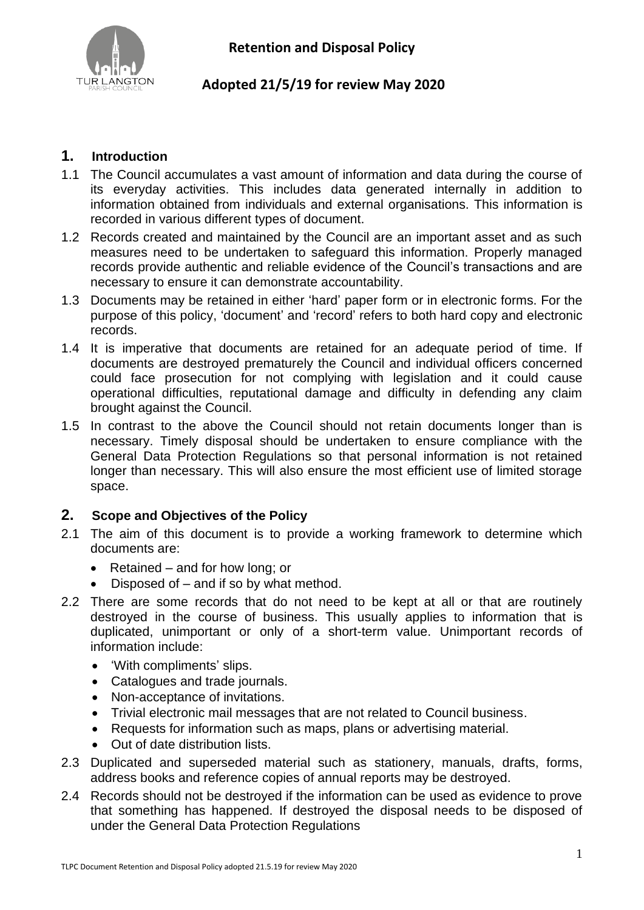

## **Adopted 21/5/19 for review May 2020**

## **1. Introduction**

- 1.1 The Council accumulates a vast amount of information and data during the course of its everyday activities. This includes data generated internally in addition to information obtained from individuals and external organisations. This information is recorded in various different types of document.
- 1.2 Records created and maintained by the Council are an important asset and as such measures need to be undertaken to safeguard this information. Properly managed records provide authentic and reliable evidence of the Council's transactions and are necessary to ensure it can demonstrate accountability.
- 1.3 Documents may be retained in either 'hard' paper form or in electronic forms. For the purpose of this policy, 'document' and 'record' refers to both hard copy and electronic records.
- 1.4 It is imperative that documents are retained for an adequate period of time. If documents are destroyed prematurely the Council and individual officers concerned could face prosecution for not complying with legislation and it could cause operational difficulties, reputational damage and difficulty in defending any claim brought against the Council.
- 1.5 In contrast to the above the Council should not retain documents longer than is necessary. Timely disposal should be undertaken to ensure compliance with the General Data Protection Regulations so that personal information is not retained longer than necessary. This will also ensure the most efficient use of limited storage space.

### **2. Scope and Objectives of the Policy**

- 2.1 The aim of this document is to provide a working framework to determine which documents are:
	- Retained and for how long; or
	- Disposed of  $-$  and if so by what method.
- 2.2 There are some records that do not need to be kept at all or that are routinely destroyed in the course of business. This usually applies to information that is duplicated, unimportant or only of a short-term value. Unimportant records of information include:
	- 'With compliments' slips.
	- Catalogues and trade journals.
	- Non-acceptance of invitations.
	- Trivial electronic mail messages that are not related to Council business.
	- Requests for information such as maps, plans or advertising material.
	- Out of date distribution lists.
- 2.3 Duplicated and superseded material such as stationery, manuals, drafts, forms, address books and reference copies of annual reports may be destroyed.
- 2.4 Records should not be destroyed if the information can be used as evidence to prove that something has happened. If destroyed the disposal needs to be disposed of under the General Data Protection Regulations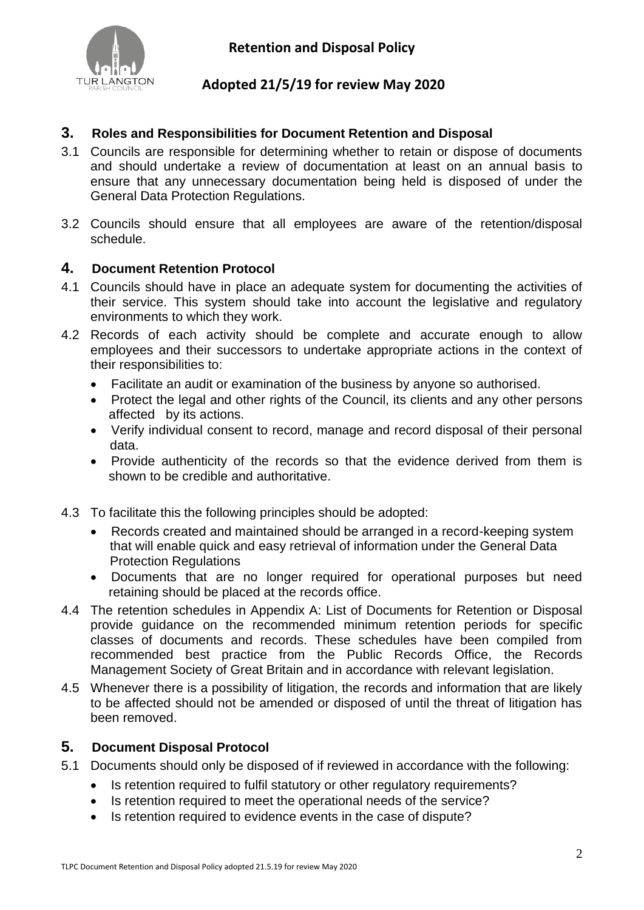

## **Adopted 21/5/19 for review May 2020**

#### **3. Roles and Responsibilities for Document Retention and Disposal**

- 3.1 Councils are responsible for determining whether to retain or dispose of documents and should undertake a review of documentation at least on an annual basis to ensure that any unnecessary documentation being held is disposed of under the General Data Protection Regulations.
- 3.2 Councils should ensure that all employees are aware of the retention/disposal schedule.

#### **4. Document Retention Protocol**

- 4.1 Councils should have in place an adequate system for documenting the activities of their service. This system should take into account the legislative and regulatory environments to which they work.
- 4.2 Records of each activity should be complete and accurate enough to allow employees and their successors to undertake appropriate actions in the context of their responsibilities to:
	- Facilitate an audit or examination of the business by anyone so authorised.
	- Protect the legal and other rights of the Council, its clients and any other persons affected by its actions.
	- Verify individual consent to record, manage and record disposal of their personal data.
	- Provide authenticity of the records so that the evidence derived from them is shown to be credible and authoritative.
- 4.3 To facilitate this the following principles should be adopted:
	- Records created and maintained should be arranged in a record-keeping system that will enable quick and easy retrieval of information under the General Data Protection Regulations
	- Documents that are no longer required for operational purposes but need retaining should be placed at the records office.
- 4.4 The retention schedules in Appendix A: List of Documents for Retention or Disposal provide guidance on the recommended minimum retention periods for specific classes of documents and records. These schedules have been compiled from recommended best practice from the Public Records Office, the Records Management Society of Great Britain and in accordance with relevant legislation.
- 4.5 Whenever there is a possibility of litigation, the records and information that are likely to be affected should not be amended or disposed of until the threat of litigation has been removed.

#### **5. Document Disposal Protocol**

- 5.1 Documents should only be disposed of if reviewed in accordance with the following:
	- Is retention required to fulfil statutory or other regulatory requirements?
	- Is retention required to meet the operational needs of the service?
	- Is retention required to evidence events in the case of dispute?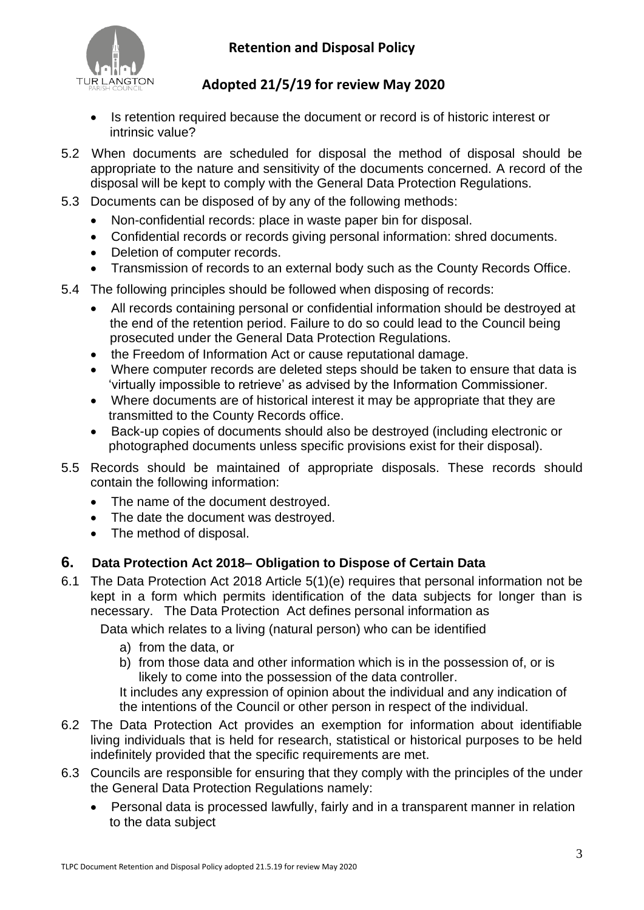



## **Adopted 21/5/19 for review May 2020**

- Is retention required because the document or record is of historic interest or intrinsic value?
- 5.2 When documents are scheduled for disposal the method of disposal should be appropriate to the nature and sensitivity of the documents concerned. A record of the disposal will be kept to comply with the General Data Protection Regulations.
- 5.3 Documents can be disposed of by any of the following methods:
	- Non-confidential records: place in waste paper bin for disposal.
	- Confidential records or records giving personal information: shred documents.
	- Deletion of computer records.
	- Transmission of records to an external body such as the County Records Office.
- 5.4 The following principles should be followed when disposing of records:
	- All records containing personal or confidential information should be destroyed at the end of the retention period. Failure to do so could lead to the Council being prosecuted under the General Data Protection Regulations.
	- the Freedom of Information Act or cause reputational damage.
	- Where computer records are deleted steps should be taken to ensure that data is 'virtually impossible to retrieve' as advised by the Information Commissioner.
	- Where documents are of historical interest it may be appropriate that they are transmitted to the County Records office.
	- Back-up copies of documents should also be destroyed (including electronic or photographed documents unless specific provisions exist for their disposal).
- 5.5 Records should be maintained of appropriate disposals. These records should contain the following information:
	- The name of the document destroyed.
	- The date the document was destroyed.
	- The method of disposal.

### **6. Data Protection Act 2018– Obligation to Dispose of Certain Data**

6.1 The Data Protection Act 2018 Article 5(1)(e) requires that personal information not be kept in a form which permits identification of the data subjects for longer than is necessary. The Data Protection Act defines personal information as

Data which relates to a living (natural person) who can be identified

- a) from the data, or
- b) from those data and other information which is in the possession of, or is likely to come into the possession of the data controller.

It includes any expression of opinion about the individual and any indication of the intentions of the Council or other person in respect of the individual.

- 6.2 The Data Protection Act provides an exemption for information about identifiable living individuals that is held for research, statistical or historical purposes to be held indefinitely provided that the specific requirements are met.
- 6.3 Councils are responsible for ensuring that they comply with the principles of the under the General Data Protection Regulations namely:
	- Personal data is processed lawfully, fairly and in a transparent manner in relation to the data subject